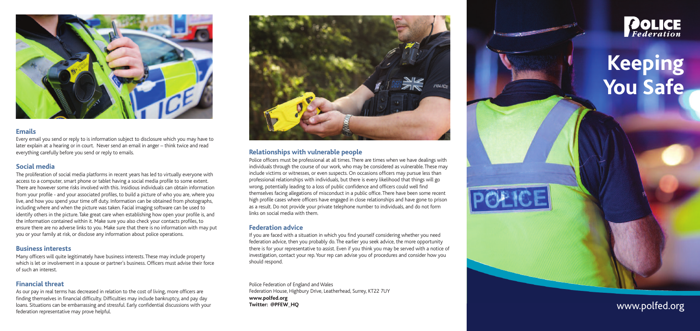



#### **E m a i l s**

Every email you send or reply to is information subject to disclosure which you may have to later explain at a hearing or in court. Never send an email in anger – think twice and read . everything carefully before you send or reply to emails .

#### **S o c i a l m e d i a**

The proliferation of social media platforms in recent years has led to virtually everyone with access to a computer, smart phone or tablet having a social media profile to some extent . There are however some risks involved with this. Insidious individuals can obtain information . from your profile - and your associated profiles, to build a picture of who you are, where you , , live, and how you spend your time off duty. Information can be obtained from photographs , . , including where and when the picture was taken. Facial imaging software can be used to . identify others in the picture. Take great care when establishing how open your profile is, and . , the information contained within it. Make sure you also check your contacts profiles, to . , ensure there are no adverse links to you. Make sure that there is no information with may put . you or your family at risk, or disclose any information about police operations , .

#### Business interests

Many officers will quite legitimately have business interests. These may include property . which is let or involvement in a spouse or partner's business. Officers must advise their force . of such an interest .

#### **Financial threat**

As our pay in real terms has decreased in relation to the cost of living, more officers are , finding themselves in financial difficulty. Difficulties may include bankruptcy, and pay day . loans. Situations can be embarrassing and stressful. Early confidential discussions with your . . federation representative may prove helpful .



## Relationships with vulnerable people

Police officers must be professional at all times. There are times when we have dealings with . individuals through the course of our work, who may be considered as vulnerable. These may .<br>., . include victims or witnesses, or even suspects. On occasions officers may pursue less than , . professional relationships with individuals, but there is every likelihood that things will go , wrong, potentially leading to a loss of public confidence and officers could well find , themselves facing allegations of misconduct in a public office. There have been some recent . high profile cases where officers have engaged in close relationships and have gone to prison as a result. Do not provide your private telephone number to individuals, and do not form . , links on social media with them .

#### **Federation advice**

If you are faced with a situation in which you find yourself considering whether you need federation advice, then you probably do. The earlier you seek advice, the more opportunity , . , there is for your representative to assist. Even if you think you may be served with a notice of . investigation, contact your rep. Your rep can advise you of procedures and consider how you , . should respond .

Police Federation of England and Wales Federation House, Highbury Drive, Leatherhead, Surrey, KT22 7UY , , , **w w w. p o l fe d . o rg Tw i t t e r : @ P F E W \_ H Q**



# **K e e p i n g** You Safe